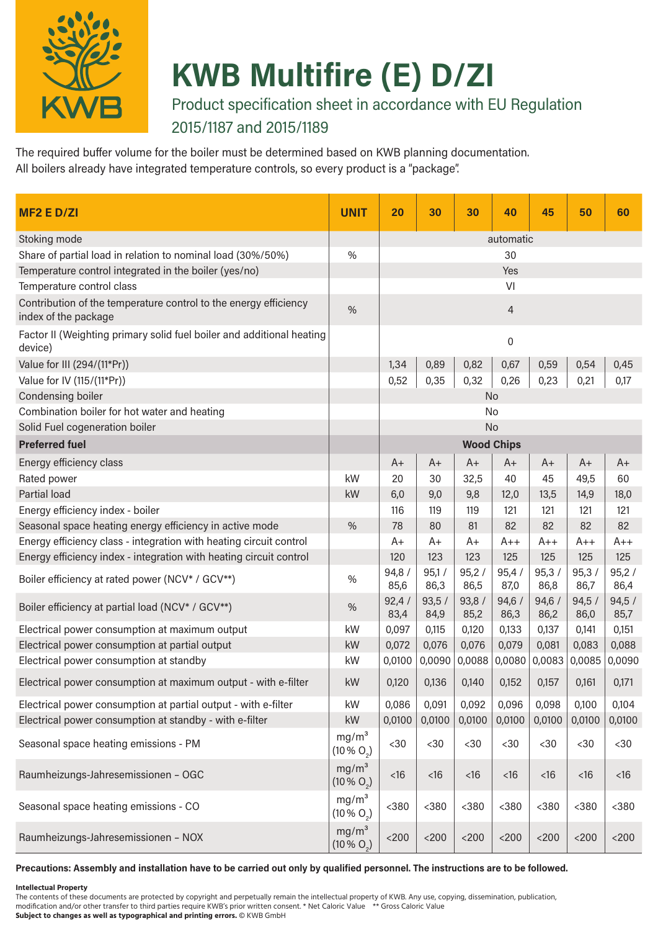

# **KWB Multifire (E) D/ZI**

Product specification sheet in accordance with EU Regulation 2015/1187 and 2015/1189

The required buffer volume for the boiler must be determined based on KWB planning documentation. All boilers already have integrated temperature controls, so every product is a "package".

| <b>MF2 E D/ZI</b>                                                                        | <b>UNIT</b>                               | 20            | 30            | 30                | 40            | 45            | 50            | 60            |  |
|------------------------------------------------------------------------------------------|-------------------------------------------|---------------|---------------|-------------------|---------------|---------------|---------------|---------------|--|
| Stoking mode                                                                             |                                           | automatic     |               |                   |               |               |               |               |  |
| Share of partial load in relation to nominal load (30%/50%)                              | %                                         | 30            |               |                   |               |               |               |               |  |
| Temperature control integrated in the boiler (yes/no)                                    |                                           | Yes           |               |                   |               |               |               |               |  |
| Temperature control class                                                                |                                           | VI            |               |                   |               |               |               |               |  |
| Contribution of the temperature control to the energy efficiency<br>index of the package | %                                         | 4             |               |                   |               |               |               |               |  |
| Factor II (Weighting primary solid fuel boiler and additional heating<br>device)         |                                           | 0             |               |                   |               |               |               |               |  |
| Value for III (294/(11*Pr))                                                              |                                           | 1,34          | 0,89          | 0,82              | 0,67          | 0,59          | 0,54          | 0,45          |  |
| Value for IV (115/(11*Pr))                                                               |                                           | 0,52          | 0,35          | 0,32              | 0,26          | 0,23          | 0,21          | 0,17          |  |
| Condensing boiler                                                                        |                                           |               |               |                   | No            |               |               |               |  |
| Combination boiler for hot water and heating                                             |                                           |               |               | No                |               |               |               |               |  |
| Solid Fuel cogeneration boiler                                                           |                                           |               |               | <b>No</b>         |               |               |               |               |  |
| <b>Preferred fuel</b>                                                                    |                                           |               |               | <b>Wood Chips</b> |               |               |               |               |  |
| Energy efficiency class                                                                  |                                           | $A+$          | $A+$          | $A+$              | $A+$          | $A+$          | $A+$          | $A+$          |  |
| Rated power                                                                              | kW                                        | 20            | 30            | 32,5              | 40            | 45            | 49,5          | 60            |  |
| <b>Partial load</b>                                                                      | kW                                        | 6,0           | 9,0           | 9,8               | 12,0          | 13,5          | 14,9          | 18,0          |  |
| Energy efficiency index - boiler                                                         |                                           | 116           | 119           | 119               | 121           | 121           | 121           | 121           |  |
| Seasonal space heating energy efficiency in active mode                                  | %                                         | 78            | 80            | 81                | 82            | 82            | 82            | 82            |  |
| Energy efficiency class - integration with heating circuit control                       |                                           | $A+$          | $A+$          | $A+$              | $A++$         | $A++$         | $A++$         | $A++$         |  |
| Energy efficiency index - integration with heating circuit control                       |                                           | 120           | 123           | 123               | 125           | 125           | 125           | 125           |  |
| Boiler efficiency at rated power (NCV* / GCV**)                                          | $\%$                                      | 94,8/<br>85,6 | 95,1/<br>86,3 | 95,2/<br>86,5     | 95,4/<br>87,0 | 95,3/<br>86,8 | 95,3/<br>86,7 | 95,2/<br>86,4 |  |
| Boiler efficiency at partial load (NCV* / GCV**)                                         | %                                         | 92,4/<br>83,4 | 93,5/<br>84,9 | 93,8/<br>85,2     | 94,6/<br>86,3 | 94,6/<br>86,2 | 94,5/<br>86,0 | 94,5/<br>85,7 |  |
| Electrical power consumption at maximum output                                           | kW                                        | 0,097         | 0,115         | 0,120             | 0,133         | 0,137         | 0,141         | 0,151         |  |
| Electrical power consumption at partial output                                           | kW                                        | 0,072         | 0,076         | 0,076             | 0,079         | 0,081         | 0,083         | 0,088         |  |
| Electrical power consumption at standby                                                  | kW                                        | 0,0100        | 0,0090        | 0,0088            | 0,0080        | 0,0083        | 0,0085        | 0,0090        |  |
| Electrical power consumption at maximum output - with e-filter                           | kW                                        | 0,120         | 0,136         | 0,140             | 0,152         | 0,157         | 0,161         | 0,171         |  |
| Electrical power consumption at partial output - with e-filter                           | kW                                        | 0,086         | 0,091         | 0,092             | 0,096         | 0,098         | 0,100         | 0,104         |  |
| Electrical power consumption at standby - with e-filter                                  | kW                                        | 0,0100        | 0,0100        | 0,0100            | 0,0100        | 0,0100        | 0,0100        | 0,0100        |  |
| Seasonal space heating emissions - PM                                                    | mg/m <sup>3</sup><br>$(10\% \text{ O}_2)$ | $30$          | $30$          | $30$              | $30$          | $30$          | $30$          | $30$          |  |
| Raumheizungs-Jahresemissionen - OGC                                                      | mg/m <sup>3</sup><br>$(10\% \text{ O}_2)$ | $<16$         | $<$ 16        | $<16$             | $<16$         | $<16$         | $<$ 16        | $<16$         |  |
| Seasonal space heating emissions - CO                                                    | mg/m <sup>3</sup><br>$(10\% \text{ O}_2)$ | $380$         | $380$         | $<$ 380           | $380$         | $380$         | $380$         | $380$         |  |
| Raumheizungs-Jahresemissionen - NOX                                                      | mg/m <sup>3</sup><br>$(10\% \text{ O}_2)$ | $<$ 200 $\,$  | $<200$        | $<$ 200           | $<$ 200       | $<$ 200       | $<$ 200       | $<200$        |  |

#### **Precautions: Assembly and installation have to be carried out only by qualified personnel. The instructions are to be followed.**

#### **Intellectual Property**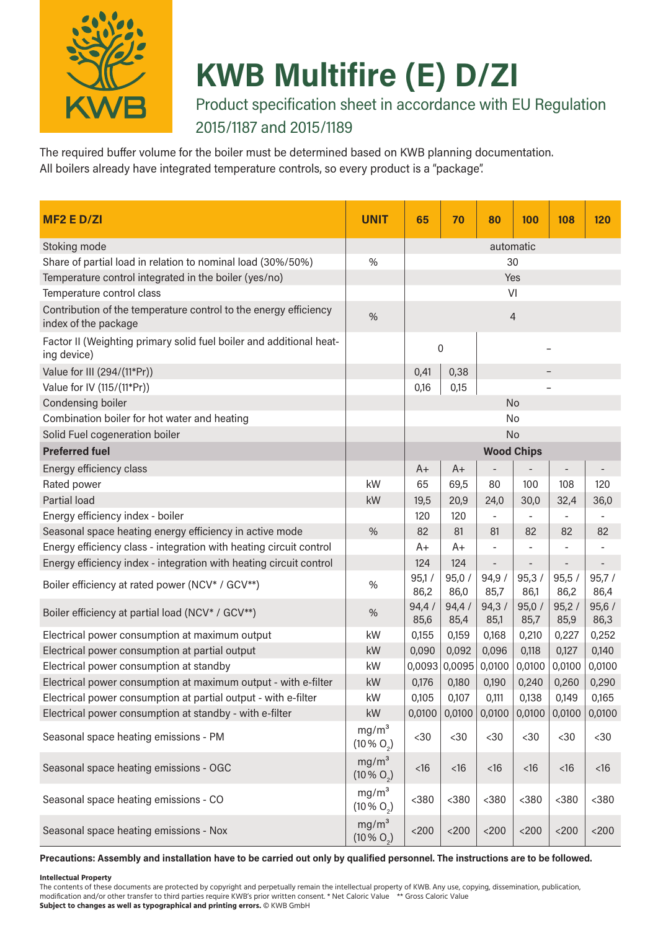

# **KWB Multifire (E) D/ZI**

Product specification sheet in accordance with EU Regulation 2015/1187 and 2015/1189

The required buffer volume for the boiler must be determined based on KWB planning documentation. All boilers already have integrated temperature controls, so every product is a "package".

| MF <sub>2</sub> E D/ZI                                                                   | <b>UNIT</b>                               | 65               | 70              | 80                | 100           | 108           | 120           |  |  |
|------------------------------------------------------------------------------------------|-------------------------------------------|------------------|-----------------|-------------------|---------------|---------------|---------------|--|--|
| Stoking mode                                                                             |                                           | automatic        |                 |                   |               |               |               |  |  |
| Share of partial load in relation to nominal load (30%/50%)                              | %                                         | 30               |                 |                   |               |               |               |  |  |
| Temperature control integrated in the boiler (yes/no)                                    |                                           | Yes              |                 |                   |               |               |               |  |  |
| Temperature control class                                                                |                                           | VI               |                 |                   |               |               |               |  |  |
| Contribution of the temperature control to the energy efficiency<br>index of the package | %                                         | $\overline{4}$   |                 |                   |               |               |               |  |  |
| Factor II (Weighting primary solid fuel boiler and additional heat-<br>ing device)       |                                           | $\boldsymbol{0}$ |                 |                   |               |               |               |  |  |
| Value for III (294/(11*Pr))                                                              |                                           | 0,41             | 0,38            |                   |               |               |               |  |  |
| Value for IV (115/(11*Pr))                                                               |                                           | 0,16             | 0,15            |                   |               |               |               |  |  |
| Condensing boiler                                                                        |                                           |                  |                 |                   | <b>No</b>     |               |               |  |  |
| Combination boiler for hot water and heating                                             |                                           |                  |                 |                   | No            |               |               |  |  |
| Solid Fuel cogeneration boiler                                                           |                                           |                  |                 |                   | No            |               |               |  |  |
| <b>Preferred fuel</b>                                                                    |                                           |                  |                 | <b>Wood Chips</b> |               |               |               |  |  |
| Energy efficiency class                                                                  |                                           | $A+$             | $A+$            | -                 |               |               | -             |  |  |
| Rated power                                                                              | kW                                        | 65               | 69,5            | 80                | 100           | 108           | 120           |  |  |
| Partial load                                                                             | kW                                        | 19,5             | 20,9            | 24,0              | 30,0          | 32,4          | 36,0          |  |  |
| Energy efficiency index - boiler                                                         |                                           | 120              | 120             | $\blacksquare$    |               |               |               |  |  |
| Seasonal space heating energy efficiency in active mode                                  | %                                         | 82               | 81              | 81                | 82            | 82            | 82            |  |  |
| Energy efficiency class - integration with heating circuit control                       |                                           | $A+$             | A+              |                   |               |               |               |  |  |
| Energy efficiency index - integration with heating circuit control                       |                                           | 124              | 124             | -                 |               |               |               |  |  |
| Boiler efficiency at rated power (NCV* / GCV**)                                          | %                                         | 95,1/<br>86,2    | 95,0/<br>86,0   | 94,9/<br>85,7     | 95,3/<br>86,1 | 95,5/<br>86,2 | 95,7/<br>86,4 |  |  |
| Boiler efficiency at partial load (NCV* / GCV**)                                         | %                                         | 94,4/<br>85,6    | 94,4/<br>85,4   | 94,3/<br>85,1     | 95,0/<br>85,7 | 95,2/<br>85,9 | 95,6/<br>86,3 |  |  |
| Electrical power consumption at maximum output                                           | kW                                        | 0,155            | 0,159           | 0,168             | 0,210         | 0,227         | 0,252         |  |  |
| Electrical power consumption at partial output                                           | kW                                        | 0,090            | 0,092           | 0,096             | 0,118         | 0,127         | 0,140         |  |  |
| Electrical power consumption at standby                                                  | kW                                        |                  | $0,0093$ 0,0095 | 0,0100            | 0,0100        | 0,0100        | 0,0100        |  |  |
| Electrical power consumption at maximum output - with e-filter                           | kW                                        | 0,176            | 0,180           | 0,190             | 0,240         | 0,260         | 0,290         |  |  |
| Electrical power consumption at partial output - with e-filter                           | kW                                        | 0,105            | 0,107           | 0,111             | 0,138         | 0,149         | 0,165         |  |  |
| Electrical power consumption at standby - with e-filter                                  | kW                                        | 0,0100           | 0,0100          | 0,0100            | 0,0100        | 0,0100        | 0,0100        |  |  |
| Seasonal space heating emissions - PM                                                    | mg/m <sup>3</sup><br>$(10\% \text{ O}_2)$ | $30$             | $30$            | $30$              | $30$          | $30$          | $30$          |  |  |
| Seasonal space heating emissions - OGC                                                   | mg/m <sup>3</sup><br>$(10\% \text{ O}_2)$ | $<$ 16           | <16             | <16               | <16           | $<$ 16        | $<$ 16        |  |  |
| Seasonal space heating emissions - CO                                                    | mg/m <sup>3</sup><br>$(10\% \text{ O}_2)$ | $380$            | $380$           | $380$             | $380$         | $380$         | $380$         |  |  |
| Seasonal space heating emissions - Nox                                                   | mg/m <sup>3</sup><br>$(10\% \text{ O}_2)$ | $<$ 200 $\,$     | $<$ 200 $\,$    | $<$ 200 $\,$      | $<$ 200 $\,$  | $<$ 200 $\,$  | $<200$        |  |  |

**Precautions: Assembly and installation have to be carried out only by qualified personnel. The instructions are to be followed.** 

#### **Intellectual Property**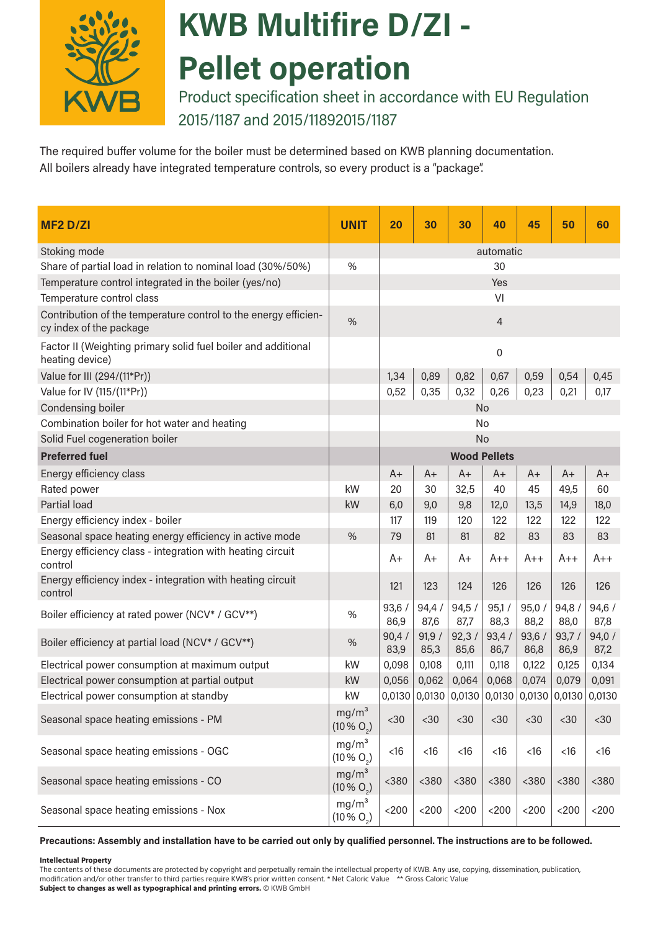

# **KWB Multifire D/ZI - Pellet operation**

Product specification sheet in accordance with EU Regulation 2015/1187 and 2015/11892015/1187

The required buffer volume for the boiler must be determined based on KWB planning documentation. All boilers already have integrated temperature controls, so every product is a "package".

| <b>MF2 D/ZI</b>                                                                            | <b>UNIT</b>                               | 20             | 30                                                             | 30            | 40                  | 45            | 50            | 60            |
|--------------------------------------------------------------------------------------------|-------------------------------------------|----------------|----------------------------------------------------------------|---------------|---------------------|---------------|---------------|---------------|
| Stoking mode                                                                               |                                           | automatic      |                                                                |               |                     |               |               |               |
| Share of partial load in relation to nominal load (30%/50%)                                | $\%$                                      |                |                                                                |               | 30                  |               |               |               |
| Temperature control integrated in the boiler (yes/no)                                      |                                           | Yes            |                                                                |               |                     |               |               |               |
| Temperature control class                                                                  |                                           |                |                                                                |               | VI                  |               |               |               |
| Contribution of the temperature control to the energy efficien-<br>cy index of the package | %                                         | $\overline{4}$ |                                                                |               |                     |               |               |               |
| Factor II (Weighting primary solid fuel boiler and additional<br>heating device)           |                                           |                |                                                                |               | $\boldsymbol{0}$    |               |               |               |
| Value for III (294/(11*Pr))                                                                |                                           | 1,34           | 0,89                                                           | 0,82          | 0,67                | 0,59          | 0,54          | 0,45          |
| Value for IV (115/(11*Pr))                                                                 |                                           | 0,52           | 0,35                                                           | 0,32          | 0,26                | 0,23          | 0,21          | 0,17          |
| Condensing boiler                                                                          |                                           |                |                                                                | No            |                     |               |               |               |
| Combination boiler for hot water and heating                                               |                                           |                |                                                                | No            |                     |               |               |               |
| Solid Fuel cogeneration boiler                                                             |                                           |                |                                                                | No            |                     |               |               |               |
| <b>Preferred fuel</b>                                                                      |                                           |                |                                                                |               | <b>Wood Pellets</b> |               |               |               |
| Energy efficiency class                                                                    |                                           | $A+$           | $A+$                                                           | A+            | $A+$                | $A+$          | $A+$          | A+            |
| Rated power                                                                                | kW                                        | 20             | 30                                                             | 32,5          | 40                  | 45            | 49,5          | 60            |
| Partial load                                                                               | kW                                        | 6,0            | 9,0                                                            | 9,8           | 12,0                | 13,5          | 14,9          | 18,0          |
| Energy efficiency index - boiler                                                           |                                           | 117            | 119                                                            | 120           | 122                 | 122           | 122           | 122           |
| Seasonal space heating energy efficiency in active mode                                    | %                                         | 79             | 81                                                             | 81            | 82                  | 83            | 83            | 83            |
| Energy efficiency class - integration with heating circuit<br>control                      |                                           | A+             | A+                                                             | A+            | $A++$               | $A++$         | $A++$         | A++           |
| Energy efficiency index - integration with heating circuit<br>control                      |                                           | 121            | 123                                                            | 124           | 126                 | 126           | 126           | 126           |
| Boiler efficiency at rated power (NCV* / GCV**)                                            | $\%$                                      | 93,6/<br>86,9  | 94,4/<br>87,6                                                  | 94,5/<br>87,7 | 95,1/<br>88,3       | 95,0/<br>88,2 | 94,8<br>88,0  | 94,6/<br>87,8 |
| Boiler efficiency at partial load (NCV* / GCV**)                                           | $\%$                                      | 90,4/<br>83,9  | 91,9/<br>85,3                                                  | 92,3/<br>85,6 | 93,4/<br>86,7       | 93,6/<br>86,8 | 93,7/<br>86,9 | 94,0/<br>87,2 |
| Electrical power consumption at maximum output                                             | kW                                        | 0,098          | 0,108                                                          | 0,111         | 0,118               | 0,122         | 0,125         | 0,134         |
| Electrical power consumption at partial output                                             | kW                                        | 0,056          | 0,062                                                          | 0,064         | 0,068               | 0,074         | 0,079         | 0,091         |
| Electrical power consumption at standby                                                    | kW                                        |                | $0,0130$ $0,0130$ $0,0130$ $0,0130$ $0,0130$ $0,0130$ $0,0130$ |               |                     |               |               |               |
| Seasonal space heating emissions - PM                                                      | mg/m <sup>3</sup><br>$(10\% \text{ O}_2)$ | $30$           | $30$                                                           | $30$          | <30                 | $30$          | $30$          | $30$          |
| Seasonal space heating emissions - OGC                                                     | mg/m <sup>3</sup><br>$(10\% \text{ O}_2)$ | $<16$          | <16                                                            | $<16$         | $<16$               | $<$ 16        | $<16$         | $<16$         |
| Seasonal space heating emissions - CO                                                      | mg/m <sup>3</sup><br>$(10\% \text{ O}_2)$ | $<$ 380        | $380$                                                          | $380$         | $380$               | $380$         | $380$         | $380$         |
| Seasonal space heating emissions - Nox                                                     | mg/m <sup>3</sup><br>$(10\% O_2)$         | $<$ 200        | $<200$                                                         | $<200$        | $<$ 200             | $<$ 200       | $<$ 200       | $<$ 200       |

#### **Precautions: Assembly and installation have to be carried out only by qualified personnel. The instructions are to be followed.**

#### **Intellectual Property**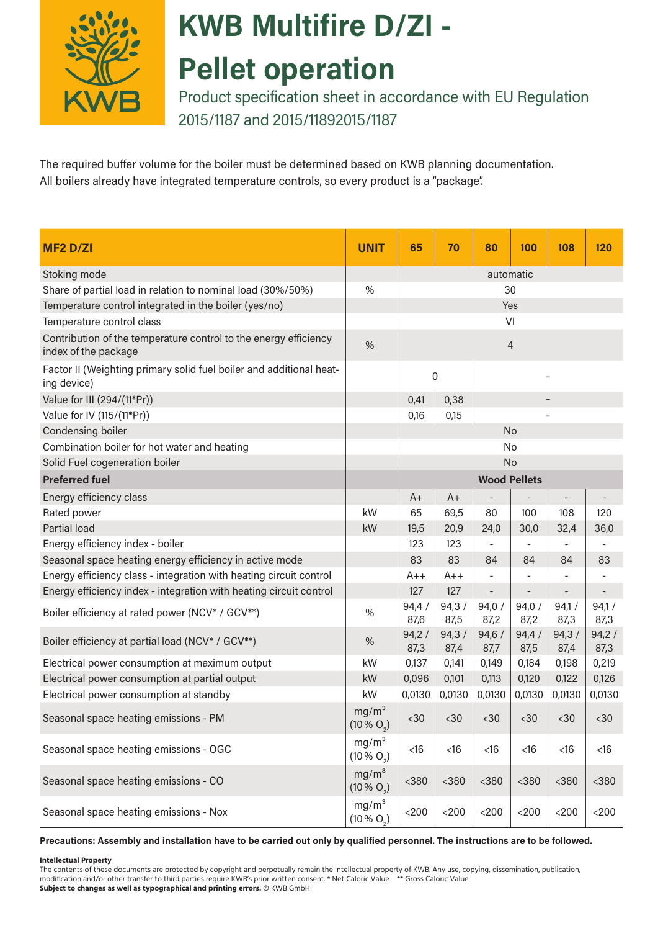

# **KWB Multifire D/ZI -**

### **Pellet operation**

Product specification sheet in accordance with EU Regulation 2015/1187 and 2015/11892015/1187

The required buffer volume for the boiler must be determined based on KWB planning documentation. All boilers already have integrated temperature controls, so every product is a "package".

| <b>MF2 D/ZI</b>                                                                          | <b>UNIT</b>                               | 65            | 70            | 80                       | 100                 | 108                      | 120                      |  |  |
|------------------------------------------------------------------------------------------|-------------------------------------------|---------------|---------------|--------------------------|---------------------|--------------------------|--------------------------|--|--|
| Stoking mode                                                                             |                                           | automatic     |               |                          |                     |                          |                          |  |  |
| Share of partial load in relation to nominal load (30%/50%)                              | %                                         | 30            |               |                          |                     |                          |                          |  |  |
| Temperature control integrated in the boiler (yes/no)                                    |                                           | Yes           |               |                          |                     |                          |                          |  |  |
| Temperature control class                                                                |                                           | VI            |               |                          |                     |                          |                          |  |  |
| Contribution of the temperature control to the energy efficiency<br>index of the package | %                                         | 4             |               |                          |                     |                          |                          |  |  |
| Factor II (Weighting primary solid fuel boiler and additional heat-<br>ing device)       |                                           | 0             |               |                          |                     |                          |                          |  |  |
| Value for III (294/(11*Pr))                                                              |                                           | 0,38<br>0,41  |               |                          |                     |                          |                          |  |  |
| Value for IV (115/(11*Pr))                                                               |                                           | 0,16          | 0,15          |                          |                     |                          |                          |  |  |
| Condensing boiler                                                                        |                                           |               |               |                          | <b>No</b>           |                          |                          |  |  |
| Combination boiler for hot water and heating                                             |                                           |               |               |                          | No                  |                          |                          |  |  |
| Solid Fuel cogeneration boiler                                                           |                                           |               |               |                          | <b>No</b>           |                          |                          |  |  |
| <b>Preferred fuel</b>                                                                    |                                           |               |               |                          | <b>Wood Pellets</b> |                          |                          |  |  |
| Energy efficiency class                                                                  |                                           | $A+$          | $A+$          |                          |                     | $\overline{\phantom{m}}$ | $\overline{\phantom{a}}$ |  |  |
| Rated power                                                                              | kW                                        | 65            | 69,5          | 80                       | 100                 | 108                      | 120                      |  |  |
| Partial load                                                                             | kW                                        | 19,5          | 20,9          | 24,0                     | 30,0                | 32,4                     | 36,0                     |  |  |
| Energy efficiency index - boiler                                                         |                                           | 123           | 123           |                          |                     |                          |                          |  |  |
| Seasonal space heating energy efficiency in active mode                                  |                                           | 83            | 83            | 84                       | 84                  | 84                       | 83                       |  |  |
| Energy efficiency class - integration with heating circuit control                       |                                           | $A++$         | $A++$         | -                        |                     |                          |                          |  |  |
| Energy efficiency index - integration with heating circuit control                       |                                           | 127           | 127           | $\overline{\phantom{0}}$ |                     | $\overline{\phantom{a}}$ |                          |  |  |
| Boiler efficiency at rated power (NCV* / GCV**)                                          | $\%$                                      | 94,4/<br>87,6 | 94,3/<br>87,5 | 94,0/<br>87,2            | 94,0/<br>87,2       | 94,1/<br>87,3            | 94,1/<br>87,3            |  |  |
| Boiler efficiency at partial load (NCV* / GCV**)                                         | %                                         | 94,2/<br>87,3 | 94,3/<br>87,4 | 94,6/<br>87,7            | 94,4/<br>87,5       | 94,3/<br>87,4            | 94,2/<br>87,3            |  |  |
| Electrical power consumption at maximum output                                           | kW                                        | 0,137         | 0,141         | 0,149                    | 0,184               | 0,198                    | 0,219                    |  |  |
| Electrical power consumption at partial output                                           | kW                                        | 0,096         | 0,101         | 0,113                    | 0,120               | 0,122                    | 0,126                    |  |  |
| Electrical power consumption at standby                                                  | kW                                        | 0,0130        | 0,0130        | 0,0130                   | 0,0130              | 0,0130                   | 0,0130                   |  |  |
| Seasonal space heating emissions - PM                                                    | mg/m <sup>3</sup><br>$(10\% O_2)$         | $30$          | $30$          | $30$                     | $30$                | $30$                     | $30$                     |  |  |
| Seasonal space heating emissions - OGC                                                   | mg/m <sup>3</sup><br>$(10\% \text{ O}_2)$ | $<16$         | $<$ 16        | $<16$                    | $<16$               | $<16$                    | $<16$                    |  |  |
| Seasonal space heating emissions - CO                                                    | mg/m <sup>3</sup><br>$(10\% O_2)$         | $380$         | $380$         | $<$ 380                  | $380$               | $380$                    | $380$                    |  |  |
| Seasonal space heating emissions - Nox                                                   | mg/m <sup>3</sup><br>$(10\% \text{ O}_2)$ | $<$ 200 $\,$  | $<200$        | $<$ 200                  | $<$ 200             | $<$ 200 $\,$             | $<200$                   |  |  |

#### **Precautions: Assembly and installation have to be carried out only by qualified personnel. The instructions are to be followed.**

#### **Intellectual Property**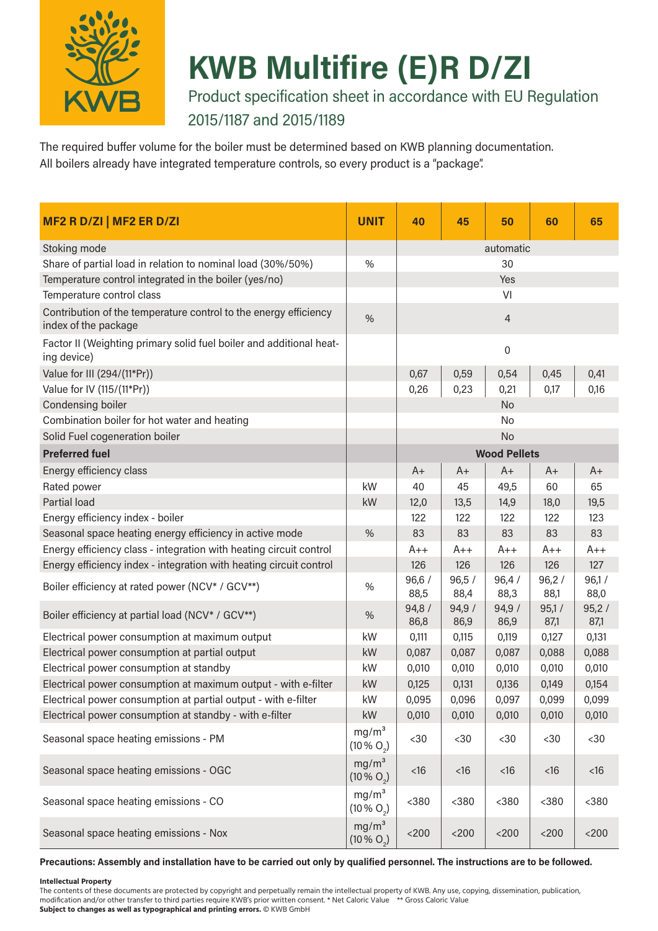

## **KWB Multifire (E)R D/ZI**

Product specification sheet in accordance with EU Regulation

#### 2015/1187 and 2015/1189

The required buffer volume for the boiler must be determined based on KWB planning documentation. All boilers already have integrated temperature controls, so every product is a "package".

| MF2 R D/ZI   MF2 ER D/ZI                                                                 | <b>UNIT</b>                                 | 40            | 45            | 50                  | 60            | 65            |
|------------------------------------------------------------------------------------------|---------------------------------------------|---------------|---------------|---------------------|---------------|---------------|
| Stoking mode                                                                             |                                             |               |               | automatic           |               |               |
| Share of partial load in relation to nominal load (30%/50%)                              | %                                           |               |               | 30                  |               |               |
| Temperature control integrated in the boiler (yes/no)                                    |                                             |               |               | Yes                 |               |               |
| Temperature control class                                                                |                                             |               |               | VI                  |               |               |
| Contribution of the temperature control to the energy efficiency<br>index of the package | %                                           |               |               | $\overline{4}$      |               |               |
| Factor II (Weighting primary solid fuel boiler and additional heat-<br>ing device)       |                                             |               |               | $\boldsymbol{0}$    |               |               |
| Value for III (294/(11*Pr))                                                              |                                             | 0,67          | 0,59          | 0,54                | 0,45          | 0,41          |
| Value for IV (115/(11*Pr))                                                               |                                             | 0,26          | 0,23          | 0,21                | 0,17          | 0,16          |
| Condensing boiler                                                                        |                                             |               |               | No                  |               |               |
| Combination boiler for hot water and heating                                             |                                             |               |               | No                  |               |               |
| Solid Fuel cogeneration boiler                                                           |                                             |               |               | No                  |               |               |
| <b>Preferred fuel</b>                                                                    |                                             |               |               | <b>Wood Pellets</b> |               |               |
| Energy efficiency class                                                                  |                                             | $A+$          | $A+$          | $A+$                | $A+$          | $A+$          |
| Rated power                                                                              | kW                                          | 40            | 45            | 49,5                | 60            | 65            |
| Partial load                                                                             | kW                                          | 12,0          | 13,5          | 14,9                | 18,0          | 19,5          |
| Energy efficiency index - boiler                                                         |                                             | 122           | 122           | 122                 | 122           | 123           |
| Seasonal space heating energy efficiency in active mode                                  | %                                           | 83            | 83            | 83                  | 83            | 83            |
| Energy efficiency class - integration with heating circuit control                       |                                             | $A++$         | $A++$         | $A++$               | $A++$         | A++           |
| Energy efficiency index - integration with heating circuit control                       |                                             | 126           | 126           | 126                 | 126           | 127           |
| Boiler efficiency at rated power (NCV* / GCV**)                                          | %                                           | 96,6/<br>88,5 | 96,5/<br>88,4 | 96,4/<br>88,3       | 96,2/<br>88,1 | 96,1/<br>88,0 |
| Boiler efficiency at partial load (NCV* / GCV**)                                         | %                                           | 94,8/<br>86,8 | 94,9/<br>86,9 | 94,9/<br>86,9       | 95,1/<br>87,1 | 95,2/<br>87,1 |
| Electrical power consumption at maximum output                                           | kW                                          | 0,111         | 0,115         | 0,119               | 0,127         | 0,131         |
| Electrical power consumption at partial output                                           | kW                                          | 0,087         | 0,087         | 0,087               | 0,088         | 0,088         |
| Electrical power consumption at standby                                                  | kW                                          | 0,010         | 0,010         | 0,010               | 0,010         | 0,010         |
| Electrical power consumption at maximum output - with e-filter                           | kW                                          | 0,125         | 0,131         | 0,136               | 0,149         | 0,154         |
| Electrical power consumption at partial output - with e-filter                           | kW                                          | 0,095         | 0,096         | 0,097               | 0,099         | 0,099         |
| Electrical power consumption at standby - with e-filter                                  | kW                                          | 0,010         | 0,010         | 0,010               | 0,010         | 0,010         |
| Seasonal space heating emissions - PM                                                    | mg/m <sup>3</sup><br>$(10\% O_2)$           | $30$          | $30$          | $30$                | $30$          | $30$          |
| Seasonal space heating emissions - OGC                                                   | mg/m <sup>3</sup><br>$(10\% O_2)$           | $<$ 16        | $<$ 16        | $<$ 16              | $<$ 16        | $<$ 16        |
| Seasonal space heating emissions - CO                                                    | mg/m <sup>3</sup><br>(10 % O <sub>2</sub> ) | $<$ 380       | $380$         | $380$               | $380$         | $<$ 380       |
| Seasonal space heating emissions - Nox                                                   | mg/m <sup>3</sup><br>$(10\% O_{2})$         | $<$ 200 $\,$  | $<$ 200       | $<$ 200             | $<$ 200       | $<$ 200       |

#### **Precautions: Assembly and installation have to be carried out only by qualified personnel. The instructions are to be followed.**

#### **Intellectual Property**